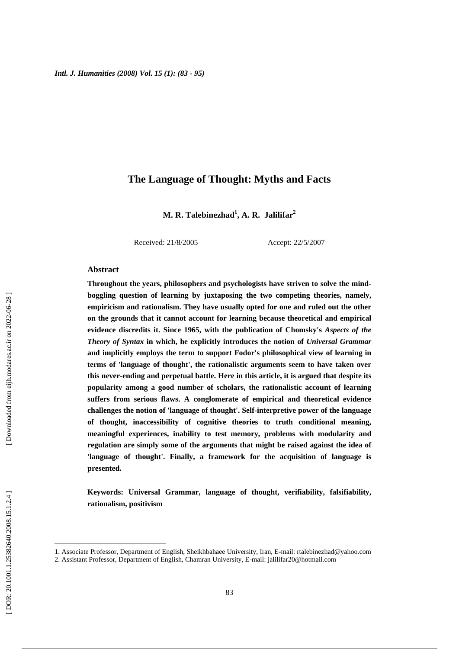### **The Language of Thought: Myths and Facts**

**M. R. Talebinezhad 1 , A. R. Jalilifar 2**

Received: 21/8/2005 Accept: 22/5/2007

#### **Abstract**

**Throughout the years, philosophers and psychologists have striven to solve the mindboggling question of learning by juxtaposing the two competing theories, namely, empiricism and rationalism. They have usually opted for one and ruled out the other on the grounds that it cannot account for learning because theoretical and empirical evidence discredits it. Since 1965, with the publication of Chomsky's** *Aspects of the Theory of Syntax* **in which, he explicitly introduces the notion of** *Universal Grammar* **and implicitly employs the term to support Fodor's philosophical view of learning in terms of 'language of thought', the rationalistic arguments seem to have taken over this never-ending and perpetual battle. Here in this article, it is argued that despite its popularity among a good number of scholars, the rationalistic account of learning suffers from serious flaws. A conglomerate of empirical and theoretical evidence challenges the notion of 'language of thought'. Self-interpretive power of the language of thought, inaccessibility of cognitive theories to truth conditional meaning, meaningful experiences, inability to test memory, problems with modularity and regulation are simply some of the arguments that might be raised against the idea of 'language of thought'. Finally, a framework for the acquisition of language is presented.** 

**Keywords: Universal Grammar, language of thought, verifiability, falsifiability, rationalism, positivism**

<u>.</u>

<sup>1.</sup> Associate Professor, Department of English, Sheikhbahaee University, Iran, E-mail: rtalebinezhad@yahoo.com

<sup>2.</sup> Assistant Professor, Department of English, Chamran University, E-mail: jalilifar20@hotmail.com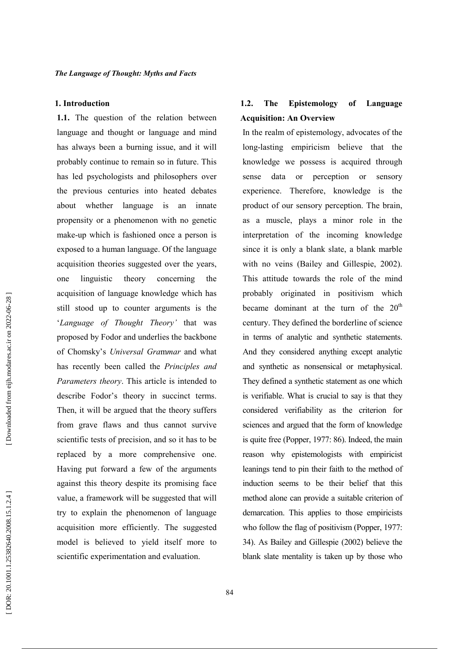#### 1. Introduction

1.1. The question of the relation between language and thought or language and mind has always been a burning issue, and it will probably continue to remain so in future. This has led psychologists and philosophers over the previous centuries into heated debates about whether language is an innate propensity or a phenomenon with no genetic make-up which is fashioned once a person is exposed to a human language. Of the language acquisition theories suggested over the years, one linguistic theory concerning the acquisition of language knowledge which has still stood up to counter arguments is the 'Language of Thought Theory' that was proposed by Fodor and underlies the backbone of Chomsky's Universal Grammar and what has recently been called the Principles and Parameters theory. This article is intended to describe Fodor's theory in succinct terms. Then, it will be argued that the theory suffers from grave flaws and thus cannot survive scientific tests of precision, and so it has to be replaced by a more comprehensive one. Having put forward a few of the arguments against this theory despite its promising face value, a framework will be suggested that will try to explain the phenomenon of language acquisition more efficiently. The suggested model is believed to yield itself more to scientific experimentation and evaluation.

#### $1.2.$ **The** Epistemology of Language **Acquisition: An Overview**

In the realm of epistemology, advocates of the long-lasting empiricism believe that the knowledge we possess is acquired through sense data <sub>or</sub> perception or sensory experience. Therefore, knowledge is the product of our sensory perception. The brain, as a muscle, plays a minor role in the interpretation of the incoming knowledge since it is only a blank slate, a blank marble with no veins (Bailey and Gillespie, 2002). This attitude towards the role of the mind probably originated in positivism which became dominant at the turn of the  $20<sup>th</sup>$ century. They defined the borderline of science in terms of analytic and synthetic statements. And they considered anything except analytic and synthetic as nonsensical or metaphysical. They defined a synthetic statement as one which is verifiable. What is crucial to say is that they considered verifiability as the criterion for sciences and argued that the form of knowledge is quite free (Popper, 1977: 86). Indeed, the main reason why epistemologists with empiricist leanings tend to pin their faith to the method of induction seems to be their belief that this method alone can provide a suitable criterion of demarcation. This applies to those empiricists who follow the flag of positivism (Popper, 1977; 34). As Bailey and Gillespie (2002) believe the blank slate mentality is taken up by those who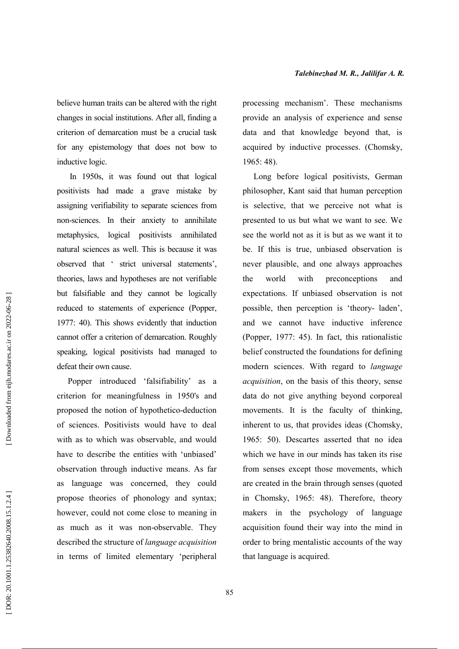believe human traits can be altered with the right changes in social institutions. After all, finding a criterion of demarcation must be a crucial task for any epistemology that does not bow to inductive logic.

In 1950s, it was found out that logical positivists had made a grave mistake by assigning verifiability to separate sciences from non-sciences. In their anxiety to annihilate metaphysics, logical positivists annihilated natural sciences as well. This is because it was observed that ' strict universal statements', theories, laws and hypotheses are not verifiable but falsifiable and they cannot be logically reduced to statements of experience (Popper, 1977: 40). This shows evidently that induction cannot offer a criterion of demarcation. Roughly speaking, logical positivists had managed to defeat their own cause.

Popper introduced 'falsifiability' as a criterion for meaningfulness in 1950's and proposed the notion of hypothetico-deduction of sciences. Positivists would have to deal with as to which was observable, and would have to describe the entities with 'unbiased' observation through inductive means. As far as language was concerned, they could propose theories of phonology and syntax; however, could not come close to meaning in as much as it was non-observable. They described the structure of language acquisition in terms of limited elementary 'peripheral

processing mechanism'. These mechanisms provide an analysis of experience and sense data and that knowledge beyond that, is acquired by inductive processes. (Chomsky,  $1965:48$ ).

Long before logical positivists, German philosopher, Kant said that human perception is selective, that we perceive not what is presented to us but what we want to see. We see the world not as it is but as we want it to be. If this is true, unbiased observation is never plausible, and one always approaches the world with preconceptions and expectations. If unbiased observation is not possible, then perception is 'theory- laden', and we cannot have inductive inference (Popper, 1977: 45). In fact, this rationalistic belief constructed the foundations for defining modern sciences. With regard to language acquisition, on the basis of this theory, sense data do not give anything beyond corporeal movements. It is the faculty of thinking, inherent to us, that provides ideas (Chomsky, 1965: 50). Descartes asserted that no idea which we have in our minds has taken its rise from senses except those movements, which are created in the brain through senses (quoted in Chomsky, 1965: 48). Therefore, theory makers in the psychology of language acquisition found their way into the mind in order to bring mentalistic accounts of the way that language is acquired.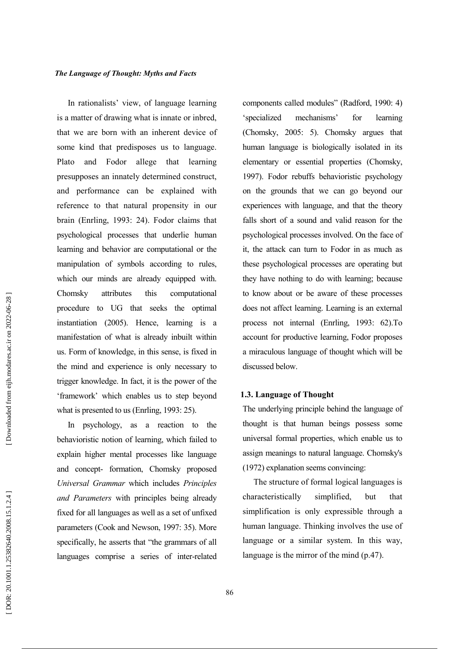In rationalists' view, of language learning is a matter of drawing what is innate or inbred. that we are born with an inherent device of some kind that predisposes us to language. allege Plato and Fodor that learning presupposes an innately determined construct, and performance can be explained with reference to that natural propensity in our brain (Enrling, 1993: 24). Fodor claims that psychological processes that underlie human learning and behavior are computational or the manipulation of symbols according to rules, which our minds are already equipped with. Chomsky attributes this computational procedure to UG that seeks the optimal instantiation (2005). Hence, learning is a manifestation of what is already inbuilt within us. Form of knowledge, in this sense, is fixed in the mind and experience is only necessary to trigger knowledge. In fact, it is the power of the 'framework' which enables us to step beyond what is presented to us (Enrling, 1993: 25).

In psychology, as a reaction to the behavioristic notion of learning, which failed to explain higher mental processes like language and concept- formation, Chomsky proposed Universal Grammar which includes Principles and Parameters with principles being already fixed for all languages as well as a set of unfixed parameters (Cook and Newson, 1997; 35). More specifically, he asserts that "the grammars of all languages comprise a series of inter-related components called modules" (Radford, 1990: 4) 'specialized mechanisms' for learning (Chomsky, 2005: 5). Chomsky argues that human language is biologically isolated in its elementary or essential properties (Chomsky, 1997). Fodor rebuffs behavioristic psychology on the grounds that we can go beyond our experiences with language, and that the theory falls short of a sound and valid reason for the psychological processes involved. On the face of it, the attack can turn to Fodor in as much as these psychological processes are operating but they have nothing to do with learning; because to know about or be aware of these processes does not affect learning. Learning is an external process not internal (Enrling, 1993: 62). To account for productive learning, Fodor proposes a miraculous language of thought which will be discussed below.

#### 1.3. Language of Thought

The underlying principle behind the language of thought is that human beings possess some universal formal properties, which enable us to assign meanings to natural language. Chomsky's (1972) explanation seems convincing:

The structure of formal logical languages is characteristically simplified. but that simplification is only expressible through a human language. Thinking involves the use of language or a similar system. In this way, language is the mirror of the mind  $(p.47)$ .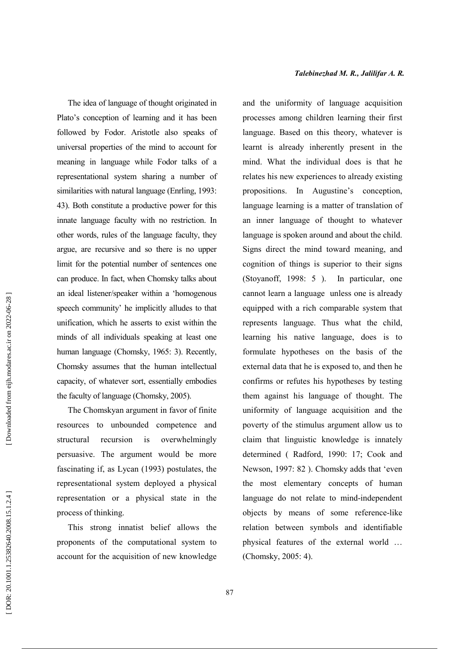The idea of language of thought originated in Plato's conception of learning and it has been followed by Fodor. Aristotle also speaks of universal properties of the mind to account for meaning in language while Fodor talks of a representational system sharing a number of similarities with natural language (Enrling, 1993: 43). Both constitute a productive power for this innate language faculty with no restriction. In other words, rules of the language faculty, they argue, are recursive and so there is no upper limit for the potential number of sentences one can produce. In fact, when Chomsky talks about an ideal listener/speaker within a 'homogenous speech community' he implicitly alludes to that unification, which he asserts to exist within the minds of all individuals speaking at least one human language (Chomsky, 1965: 3). Recently, Chomsky assumes that the human intellectual capacity, of whatever sort, essentially embodies the faculty of language (Chomsky, 2005).

The Chomskyan argument in favor of finite resources to unbounded competence and recursion  $is$ overwhelmingly structural persuasive. The argument would be more fascinating if, as Lycan (1993) postulates, the representational system deployed a physical representation or a physical state in the process of thinking.

This strong innatist belief allows the proponents of the computational system to account for the acquisition of new knowledge and the uniformity of language acquisition processes among children learning their first language. Based on this theory, whatever is learnt is already inherently present in the mind. What the individual does is that he relates his new experiences to already existing propositions. In Augustine's conception, language learning is a matter of translation of an inner language of thought to whatever language is spoken around and about the child. Signs direct the mind toward meaning, and cognition of things is superior to their signs (Stoyanoff, 1998: 5). In particular, one cannot learn a language unless one is already equipped with a rich comparable system that represents language. Thus what the child, learning his native language, does is to formulate hypotheses on the basis of the external data that he is exposed to, and then he confirms or refutes his hypotheses by testing them against his language of thought. The uniformity of language acquisition and the poverty of the stimulus argument allow us to claim that linguistic knowledge is innately determined (Radford, 1990: 17; Cook and Newson, 1997: 82). Chomsky adds that 'even the most elementary concepts of human language do not relate to mind-independent objects by means of some reference-like relation between symbols and identifiable physical features of the external world ... (Chomsky, 2005: 4).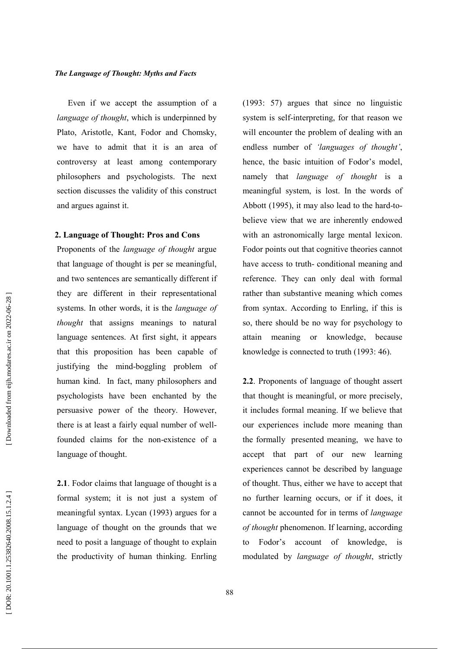Even if we accept the assumption of a language of thought, which is underpinned by Plato, Aristotle, Kant, Fodor and Chomsky, we have to admit that it is an area of controversy at least among contemporary philosophers and psychologists. The next section discusses the validity of this construct and argues against it.

#### 2. Language of Thought: Pros and Cons

Proponents of the language of thought argue that language of thought is per se meaningful, and two sentences are semantically different if they are different in their representational systems. In other words, it is the *language of*  $$ language sentences. At first sight, it appears that this proposition has been capable of justifying the mind-boggling problem of human kind. In fact, many philosophers and psychologists have been enchanted by the persuasive power of the theory. However, there is at least a fairly equal number of wellfounded claims for the non-existence of a language of thought.

2.1. Fodor claims that language of thought is a formal system; it is not just a system of meaningful syntax. Lycan (1993) argues for a language of thought on the grounds that we need to posit a language of thought to explain the productivity of human thinking. Enrling

 $(1993: 57)$  argues that since no linguistic system is self-interpreting, for that reason we will encounter the problem of dealing with an endless number of 'languages of thought', hence, the basic intuition of Fodor's model, namely that *language of thought* is a meaningful system, is lost. In the words of Abbott (1995), it may also lead to the hard-tobelieve view that we are inherently endowed with an astronomically large mental lexicon. Fodor points out that cognitive theories cannot have access to truth-conditional meaning and reference. They can only deal with formal rather than substantive meaning which comes from syntax. According to Enrling, if this is so, there should be no way for psychology to attain meaning or knowledge, because knowledge is connected to truth (1993: 46).

2.2. Proponents of language of thought assert that thought is meaningful, or more precisely. it includes formal meaning. If we believe that our experiences include more meaning than the formally presented meaning, we have to accept that part of our new learning experiences cannot be described by language of thought. Thus, either we have to accept that no further learning occurs, or if it does, it cannot be accounted for in terms of *language* of thought phenomenon. If learning, according to Fodor's account of knowledge, is modulated by language of thought, strictly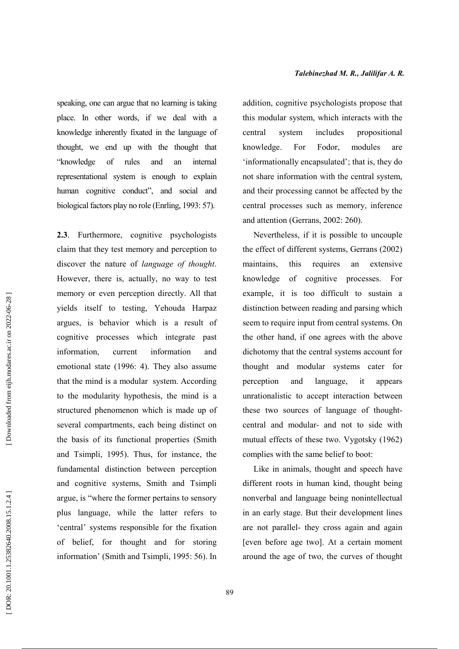speaking, one can argue that no learning is taking place. In other words, if we deal with a knowledge inherently fixated in the language of thought, we end up with the thought that "knowledge of rules and an internal representational system is enough to explain human cognitive conduct", and social and biological factors play no role (Enrling, 1993: 57).

2.3. Furthermore, cognitive psychologists claim that they test memory and perception to discover the nature of *language* of *thought*. However, there is, actually, no way to test memory or even perception directly. All that vields itself to testing, Yehouda Harpaz argues, is behavior which is a result of cognitive processes which integrate past information. current information and emotional state (1996: 4). They also assume that the mind is a modular system. According to the modularity hypothesis, the mind is a structured phenomenon which is made up of several compartments, each being distinct on the basis of its functional properties (Smith and Tsimpli, 1995). Thus, for instance, the fundamental distinction between perception and cognitive systems, Smith and Tsimpli argue, is "where the former pertains to sensory plus language, while the latter refers to 'central' systems responsible for the fixation of belief, for thought and for storing information' (Smith and Tsimpli, 1995: 56). In addition, cognitive psychologists propose that this modular system, which interacts with the central system includes propositional knowledge. For Fodor, modules are 'informationally encapsulated'; that is, they do not share information with the central system, and their processing cannot be affected by the central processes such as memory, inference and attention (Gerrans, 2002: 260).

Nevertheless, if it is possible to uncouple the effect of different systems, Gerrans (2002) maintains. this requires an extensive knowledge of cognitive processes. For example, it is too difficult to sustain a distinction between reading and parsing which seem to require input from central systems. On the other hand, if one agrees with the above dichotomy that the central systems account for thought and modular systems cater for and language, perception it appears unrationalistic to accept interaction between these two sources of language of thoughtcentral and modular- and not to side with mutual effects of these two. Vygotsky (1962) complies with the same belief to boot:

Like in animals, thought and speech have different roots in human kind, thought being nonverbal and language being nonintellectual in an early stage. But their development lines are not parallel- they cross again and again [even before age two]. At a certain moment around the age of two, the curves of thought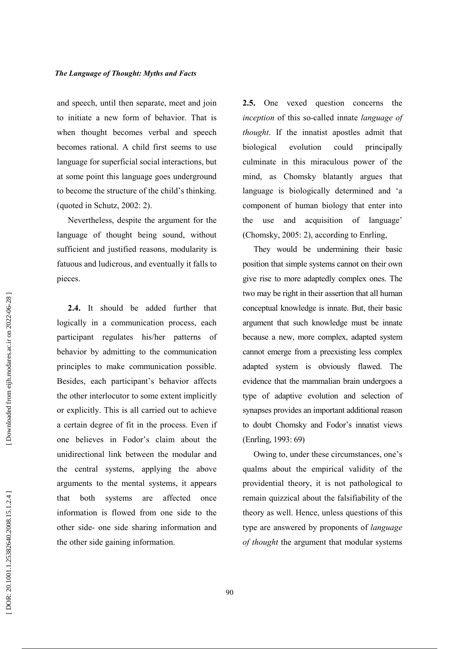and speech, until then separate, meet and join to initiate a new form of behavior. That is when thought becomes verbal and speech becomes rational. A child first seems to use language for superficial social interactions, but at some point this language goes underground to become the structure of the child's thinking. (quoted in Schutz,  $2002:2$ ).

Nevertheless, despite the argument for the language of thought being sound, without sufficient and justified reasons, modularity is fatuous and ludicrous, and eventually it falls to pieces.

2.4. It should be added further that logically in a communication process, each participant regulates his/her patterns of behavior by admitting to the communication principles to make communication possible. Besides, each participant's behavior affects the other interlocutor to some extent implicitly or explicitly. This is all carried out to achieve a certain degree of fit in the process. Even if one believes in Fodor's claim about the unidirectional link between the modular and the central systems, applying the above arguments to the mental systems, it appears that both systems are affected once information is flowed from one side to the other side- one side sharing information and the other side gaining information.

**2.5.** One vexed question concerns the inception of this so-called innate language of thought. If the innatist apostles admit that biological evolution could principally culminate in this miraculous power of the mind, as Chomsky blatantly argues that language is biologically determined and 'a component of human biology that enter into the use and acquisition of language' (Chomsky, 2005: 2), according to Enrling,

They would be undermining their basic position that simple systems cannot on their own give rise to more adaptedly complex ones. The two may be right in their assertion that all human conceptual knowledge is innate. But, their basic argument that such knowledge must be innate because a new, more complex, adapted system cannot emerge from a preexisting less complex adapted system is obviously flawed. The evidence that the mammalian brain undergoes a type of adaptive evolution and selection of synapses provides an important additional reason to doubt Chomsky and Fodor's innatist views (Enrling, 1993: 69)

Owing to, under these circumstances, one's qualms about the empirical validity of the providential theory, it is not pathological to remain quizzical about the falsifiability of the theory as well. Hence, unless questions of this type are answered by proponents of language of thought the argument that modular systems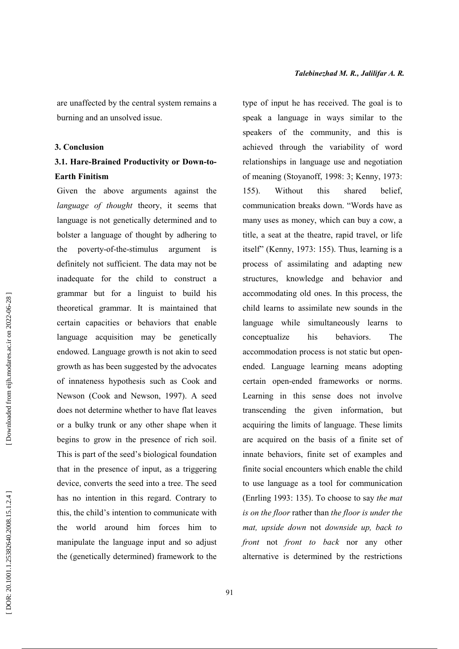are unaffected by the central system remains a burning and an unsolved issue.

#### 3. Conclusion

### 3.1. Hare-Brained Productivity or Down-to-**Earth Finitism**

Given the above arguments against the language of thought theory, it seems that language is not genetically determined and to bolster a language of thought by adhering to poverty-of-the-stimulus argument the definitely not sufficient. The data may not be inadequate for the child to construct a grammar but for a linguist to build his theoretical grammar. It is maintained that certain capacities or behaviors that enable language acquisition may be genetically endowed. Language growth is not akin to seed growth as has been suggested by the advocates of innateness hypothesis such as Cook and Newson (Cook and Newson, 1997). A seed does not determine whether to have flat leaves or a bulky trunk or any other shape when it begins to grow in the presence of rich soil. This is part of the seed's biological foundation that in the presence of input, as a triggering device, converts the seed into a tree. The seed has no intention in this regard. Contrary to this, the child's intention to communicate with the world around him forces him to manipulate the language input and so adjust the (genetically determined) framework to the

type of input he has received. The goal is to speak a language in ways similar to the speakers of the community, and this is achieved through the variability of word relationships in language use and negotiation of meaning (Stoyanoff, 1998: 3; Kenny, 1973:  $155$ ). Without this shared belief. communication breaks down. "Words have as many uses as money, which can buy a cow, a title, a seat at the theatre, rapid travel, or life itself" (Kenny, 1973: 155). Thus, learning is a process of assimilating and adapting new structures, knowledge and behavior and accommodating old ones. In this process, the child learns to assimilate new sounds in the language while simultaneously learns to The conceptualize his behaviors. accommodation process is not static but openended. Language learning means adopting certain open-ended frameworks or norms. Learning in this sense does not involve transcending the given information, but acquiring the limits of language. These limits are acquired on the basis of a finite set of innate behaviors, finite set of examples and finite social encounters which enable the child to use language as a tool for communication (Enrling 1993: 135). To choose to say the mat is on the floor rather than the floor is under the mat, upside down not downside up, back to front not front to back nor any other alternative is determined by the restrictions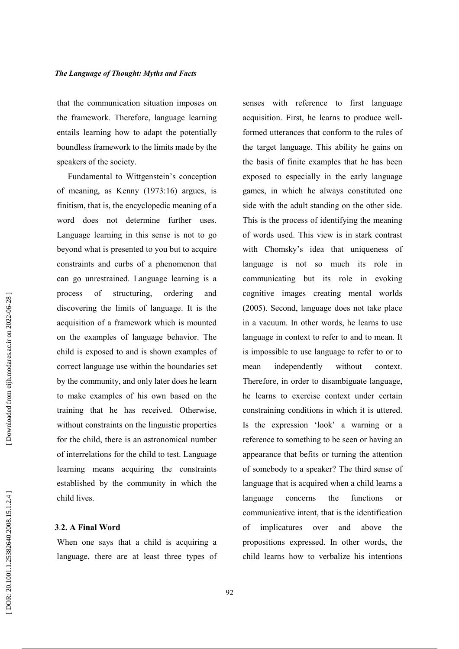that the communication situation imposes on the framework. Therefore, language learning entails learning how to adapt the potentially boundless framework to the limits made by the speakers of the society.

Fundamental to Wittgenstein's conception of meaning, as Kenny (1973:16) argues, is finitism, that is, the encyclopedic meaning of a word does not determine further uses. Language learning in this sense is not to go beyond what is presented to you but to acquire constraints and curbs of a phenomenon that can go unrestrained. Language learning is a  $\alpha$ f structuring. ordering process and discovering the limits of language. It is the acquisition of a framework which is mounted on the examples of language behavior. The child is exposed to and is shown examples of correct language use within the boundaries set by the community, and only later does he learn to make examples of his own based on the training that he has received. Otherwise, without constraints on the linguistic properties for the child, there is an astronomical number of interrelations for the child to test. Language learning means acquiring the constraints established by the community in which the child lives.

### 3.2. A Final Word

When one says that a child is acquiring a language, there are at least three types of senses with reference to first language acquisition. First, he learns to produce wellformed utterances that conform to the rules of the target language. This ability he gains on the basis of finite examples that he has been exposed to especially in the early language games, in which he always constituted one side with the adult standing on the other side. This is the process of identifying the meaning of words used. This view is in stark contrast with Chomsky's idea that uniqueness of language is not so much its role in communicating but its role in evoking cognitive images creating mental worlds (2005). Second, language does not take place in a vacuum. In other words, he learns to use language in context to refer to and to mean. It is impossible to use language to refer to or to mean independently without context. Therefore, in order to disambiguate language, he learns to exercise context under certain constraining conditions in which it is uttered. Is the expression 'look' a warning or a reference to something to be seen or having an appearance that befits or turning the attention of somebody to a speaker? The third sense of language that is acquired when a child learns a concerns the functions language  $\alpha$ r communicative intent, that is the identification  $\alpha$ f implicatures over and above the propositions expressed. In other words, the child learns how to verbalize his intentions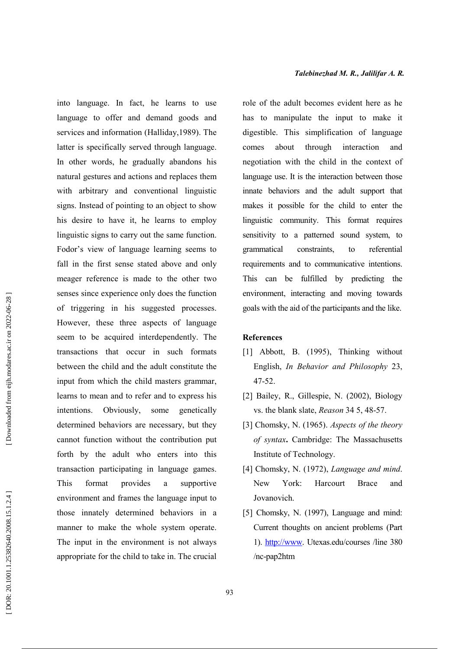into language. In fact, he learns to use language to offer and demand goods and services and information (Halliday, 1989). The latter is specifically served through language. In other words, he gradually abandons his natural gestures and actions and replaces them with arbitrary and conventional linguistic signs. Instead of pointing to an object to show his desire to have it, he learns to employ linguistic signs to carry out the same function. Fodor's view of language learning seems to fall in the first sense stated above and only meager reference is made to the other two senses since experience only does the function of triggering in his suggested processes. However, these three aspects of language seem to be acquired interdependently. The transactions that occur in such formats between the child and the adult constitute the input from which the child masters grammar, learns to mean and to refer and to express his Obviously. some genetically intentions. determined behaviors are necessary, but they cannot function without the contribution put forth by the adult who enters into this transaction participating in language games. Thie format provides a supportive environment and frames the language input to those innately determined behaviors in a manner to make the whole system operate. The input in the environment is not always appropriate for the child to take in. The crucial role of the adult becomes evident here as he has to manipulate the input to make it digestible. This simplification of language comes about through interaction and negotiation with the child in the context of language use. It is the interaction between those innate behaviors and the adult support that makes it possible for the child to enter the linguistic community. This format requires sensitivity to a patterned sound system, to grammatical constraints.  $\mathsf{to}$ referential requirements and to communicative intentions. This can be fulfilled by predicting the environment, interacting and moving towards goals with the aid of the participants and the like.

#### **References**

- [1] Abbott, B. (1995), Thinking without English, In Behavior and Philosophy 23,  $47 - 52$ .
- [2] Bailey, R., Gillespie, N. (2002), Biology vs. the blank slate, *Reason* 34 5, 48-57.
- [3] Chomsky, N. (1965). Aspects of the theory of syntax. Cambridge: The Massachusetts Institute of Technology.
- [4] Chomsky, N. (1972), Language and mind. York<sup>-</sup> Harcourt **New Brace** and Jovanovich.
- [5] Chomsky, N. (1997), Language and mind: Current thoughts on ancient problems (Part 1). http://www. Utexas.edu/courses /line 380 /nc-pap2htm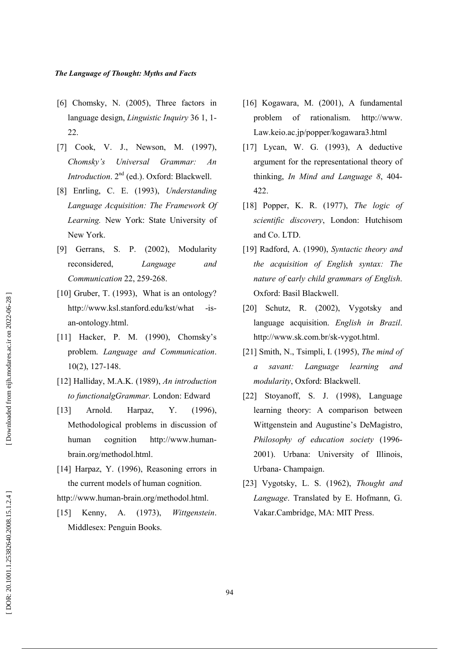- [6] Chomsky, N. (2005), Three factors in language design, *Linguistic Inquiry* 36 1, 1- $22$
- [7] Cook, V. J., Newson, M. (1997), Chomsky's Universal Grammar:  $An$ Introduction. 2<sup>nd</sup> (ed.). Oxford: Blackwell.
- [8] Enrling, C. E. (1993), Understanding Language Acquisition: The Framework Of Learning. New York: State University of New York.
- [9] Gerrans. S. P. (2002). Modularity reconsidered, Language and Communication 22, 259-268.
- [10] Gruber, T. (1993), What is an ontology? http://www.ksl.stanford.edu/kst/what  $-is$ an-ontology.html.
- [11] Hacker, P. M. (1990), Chomsky's problem. Language and Communication.  $10(2)$ , 127-148.
- [12] Halliday, M.A.K. (1989), An introduction to functionalgGrammar. London: Edward
- $[13]$ Arnold.  $Y_{.}$  $(1996)$ . Harpaz, Methodological problems in discussion of cognition http://www.humanhuman brain.org/methodol.html.
- [14] Harpaz, Y. (1996), Reasoning errors in the current models of human cognition.

http://www.human-brain.org/methodol.html.

Kenny, A. (1973). Wittgenstein.  $\lceil 15 \rceil$ Middlesex: Penguin Books.

- [16] Kogawara, M. (2001), A fundamental problem of rationalism. http://www. Law.keio.ac.jp/popper/kogawara3.html
- [17] Lycan, W. G. (1993), A deductive argument for the representational theory of thinking, In Mind and Language 8, 404-422.
- [18] Popper, K. R. (1977), The logic of scientific discovery, London: Hutchisom and Co. LTD.
- [19] Radford, A. (1990), Syntactic theory and the acquisition of English syntax: The nature of early child grammars of English. Oxford: Basil Blackwell.
- [20] Schutz, R. (2002), Vygotsky and language acquisition. English in Brazil. http://www.sk.com.br/sk-vygot.html.
- [21] Smith, N., Tsimpli, I. (1995), The mind of and  $\alpha$ savant: Language learning modularity, Oxford: Blackwell.
- [22] Stoyanoff, S. J. (1998), Language learning theory: A comparison between Wittgenstein and Augustine's DeMagistro, Philosophy of education society (1996-2001). Urbana: University of Illinois, Urbana-Champaign.
- [23] Vygotsky, L. S. (1962), Thought and Language. Translated by E. Hofmann, G. Vakar.Cambridge, MA: MIT Press.